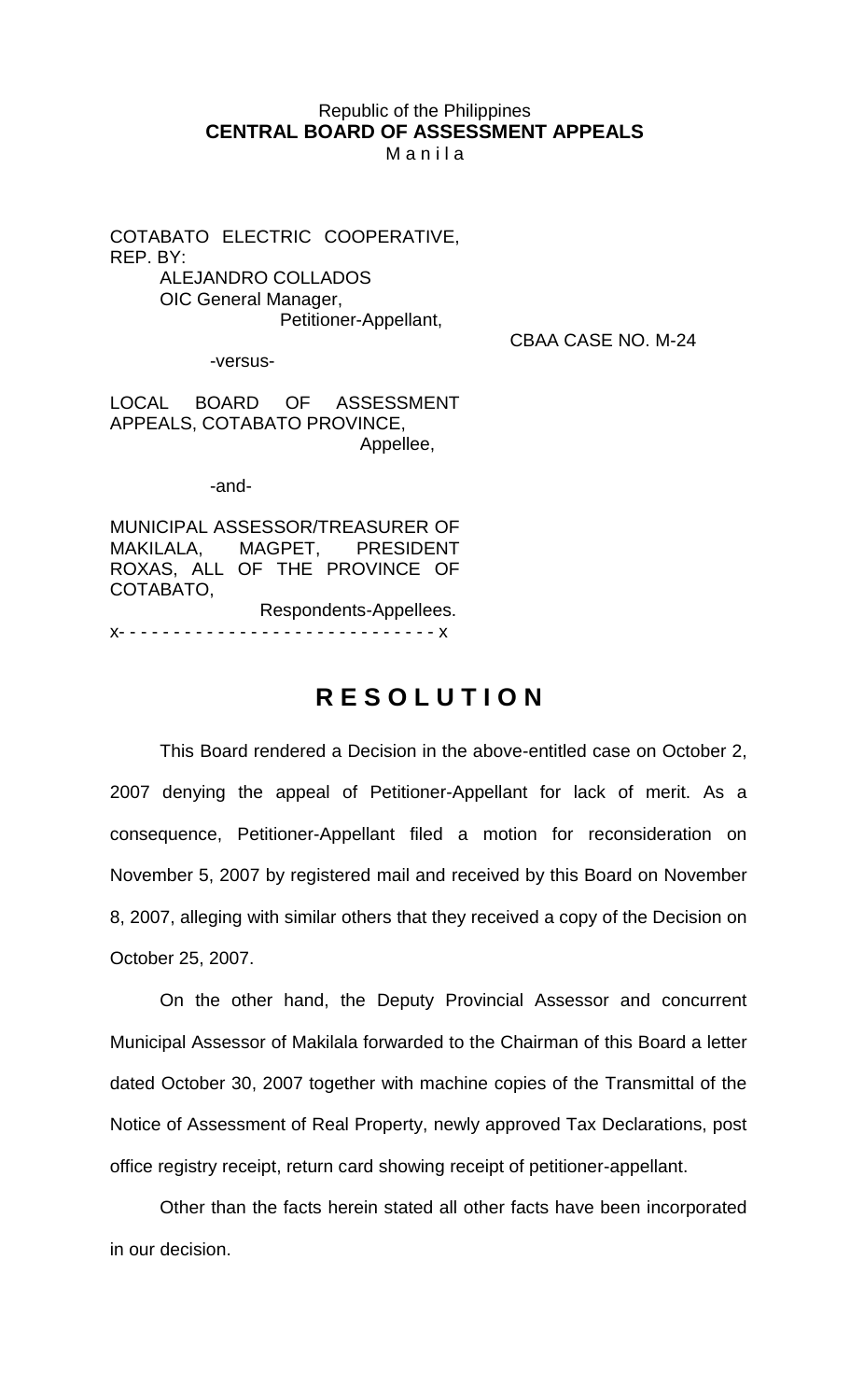## Republic of the Philippines **CENTRAL BOARD OF ASSESSMENT APPEALS**

M a n i l a

COTABATO ELECTRIC COOPERATIVE, REP. BY: ALEJANDRO COLLADOS OIC General Manager, Petitioner-Appellant,

CBAA CASE NO. M-24

-versus-

LOCAL BOARD OF ASSESSMENT APPEALS, COTABATO PROVINCE, Appellee,

-and-

MUNICIPAL ASSESSOR/TREASURER OF MAKILALA, MAGPET, PRESIDENT ROXAS, ALL OF THE PROVINCE OF COTABATO,

Respondents-Appellees. x- - - - - - - - - - - - - - - - - - - - - - - - - - - - - x

## **R E S O L U T I O N**

This Board rendered a Decision in the above-entitled case on October 2, 2007 denying the appeal of Petitioner-Appellant for lack of merit. As a consequence, Petitioner-Appellant filed a motion for reconsideration on November 5, 2007 by registered mail and received by this Board on November 8, 2007, alleging with similar others that they received a copy of the Decision on October 25, 2007.

On the other hand, the Deputy Provincial Assessor and concurrent Municipal Assessor of Makilala forwarded to the Chairman of this Board a letter dated October 30, 2007 together with machine copies of the Transmittal of the Notice of Assessment of Real Property, newly approved Tax Declarations, post office registry receipt, return card showing receipt of petitioner-appellant.

Other than the facts herein stated all other facts have been incorporated in our decision.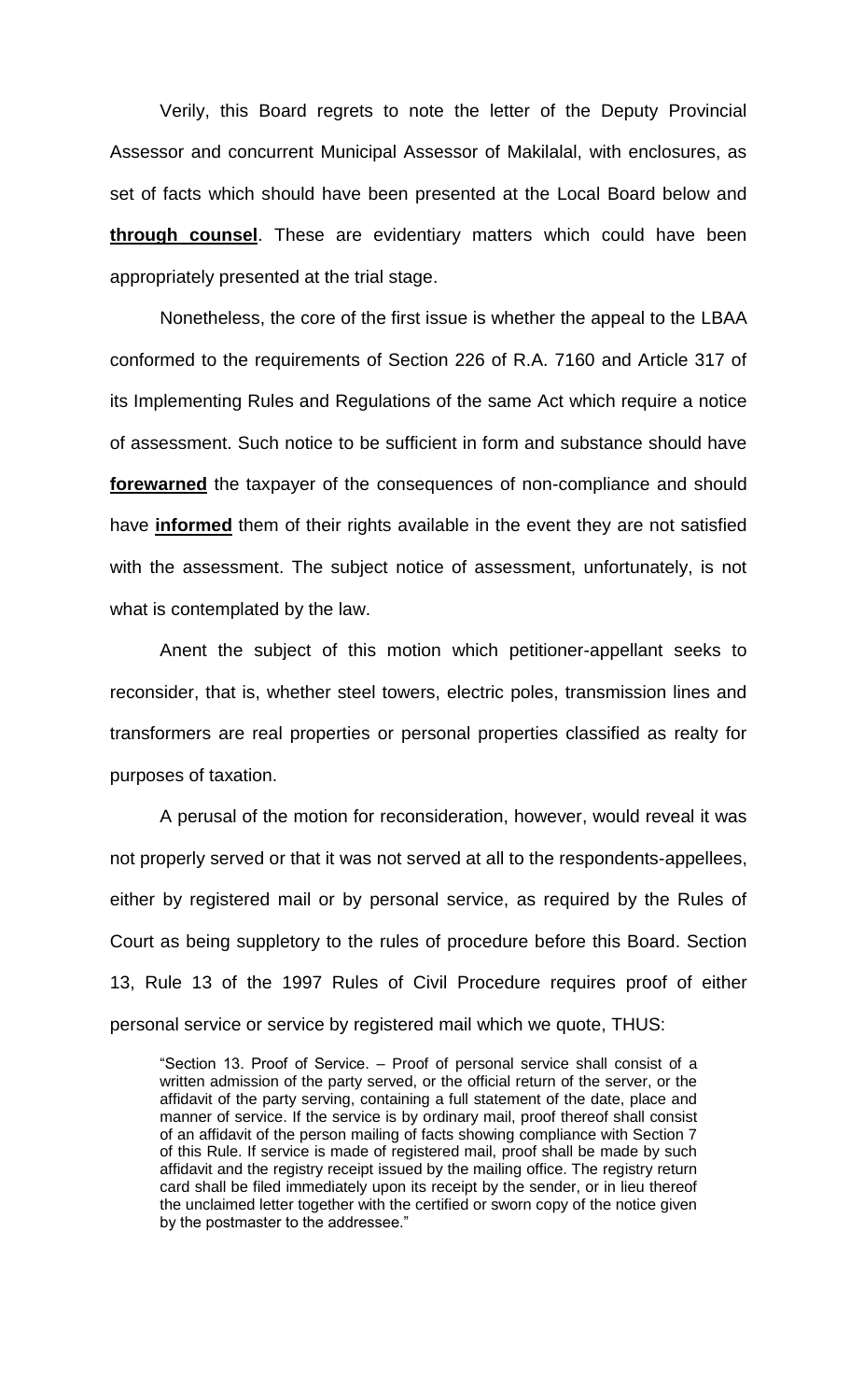Verily, this Board regrets to note the letter of the Deputy Provincial Assessor and concurrent Municipal Assessor of Makilalal, with enclosures, as set of facts which should have been presented at the Local Board below and **through counsel**. These are evidentiary matters which could have been appropriately presented at the trial stage.

Nonetheless, the core of the first issue is whether the appeal to the LBAA conformed to the requirements of Section 226 of R.A. 7160 and Article 317 of its Implementing Rules and Regulations of the same Act which require a notice of assessment. Such notice to be sufficient in form and substance should have **forewarned** the taxpayer of the consequences of non-compliance and should have **informed** them of their rights available in the event they are not satisfied with the assessment. The subject notice of assessment, unfortunately, is not what is contemplated by the law.

Anent the subject of this motion which petitioner-appellant seeks to reconsider, that is, whether steel towers, electric poles, transmission lines and transformers are real properties or personal properties classified as realty for purposes of taxation.

A perusal of the motion for reconsideration, however, would reveal it was not properly served or that it was not served at all to the respondents-appellees, either by registered mail or by personal service, as required by the Rules of Court as being suppletory to the rules of procedure before this Board. Section 13, Rule 13 of the 1997 Rules of Civil Procedure requires proof of either personal service or service by registered mail which we quote, THUS:

"Section 13. Proof of Service. – Proof of personal service shall consist of a written admission of the party served, or the official return of the server, or the affidavit of the party serving, containing a full statement of the date, place and manner of service. If the service is by ordinary mail, proof thereof shall consist of an affidavit of the person mailing of facts showing compliance with Section 7 of this Rule. If service is made of registered mail, proof shall be made by such affidavit and the registry receipt issued by the mailing office. The registry return card shall be filed immediately upon its receipt by the sender, or in lieu thereof the unclaimed letter together with the certified or sworn copy of the notice given by the postmaster to the addressee."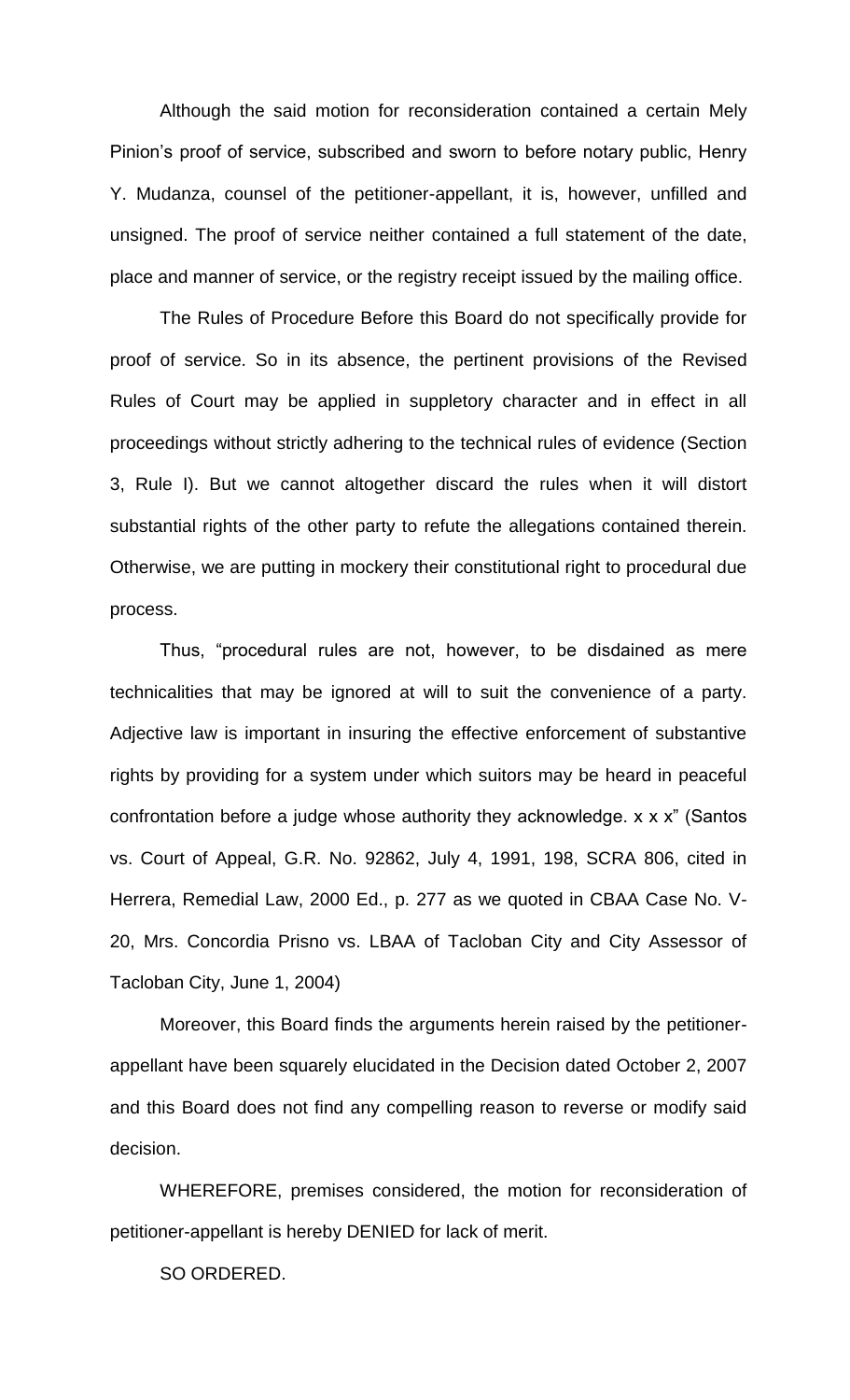Although the said motion for reconsideration contained a certain Mely Pinion's proof of service, subscribed and sworn to before notary public, Henry Y. Mudanza, counsel of the petitioner-appellant, it is, however, unfilled and unsigned. The proof of service neither contained a full statement of the date, place and manner of service, or the registry receipt issued by the mailing office.

The Rules of Procedure Before this Board do not specifically provide for proof of service. So in its absence, the pertinent provisions of the Revised Rules of Court may be applied in suppletory character and in effect in all proceedings without strictly adhering to the technical rules of evidence (Section 3, Rule I). But we cannot altogether discard the rules when it will distort substantial rights of the other party to refute the allegations contained therein. Otherwise, we are putting in mockery their constitutional right to procedural due process.

Thus, "procedural rules are not, however, to be disdained as mere technicalities that may be ignored at will to suit the convenience of a party. Adjective law is important in insuring the effective enforcement of substantive rights by providing for a system under which suitors may be heard in peaceful confrontation before a judge whose authority they acknowledge. x x x" (Santos vs. Court of Appeal, G.R. No. 92862, July 4, 1991, 198, SCRA 806, cited in Herrera, Remedial Law, 2000 Ed., p. 277 as we quoted in CBAA Case No. V-20, Mrs. Concordia Prisno vs. LBAA of Tacloban City and City Assessor of Tacloban City, June 1, 2004)

Moreover, this Board finds the arguments herein raised by the petitionerappellant have been squarely elucidated in the Decision dated October 2, 2007 and this Board does not find any compelling reason to reverse or modify said decision.

WHEREFORE, premises considered, the motion for reconsideration of petitioner-appellant is hereby DENIED for lack of merit.

SO ORDERED.